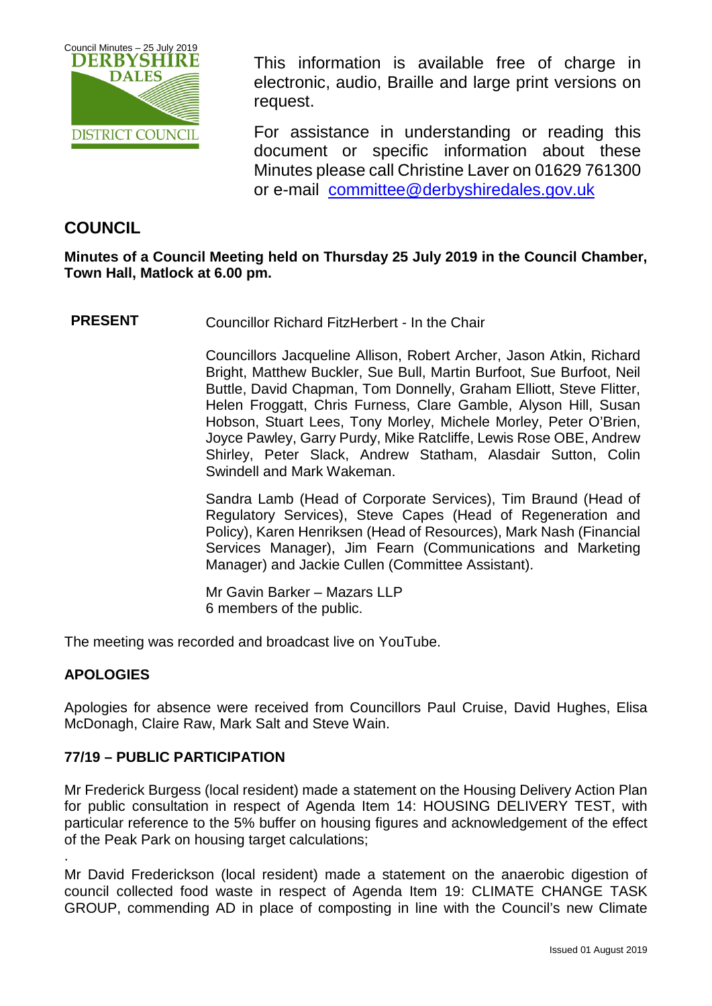

This information is available free of charge in electronic, audio, Braille and large print versions on request.

For assistance in understanding or reading this document or specific information about these Minutes please call Christine Laver on 01629 761300 or e-mail [committee@derbyshiredales.gov.uk](mailto:brian.evans@derbyshiredales.gov.uk) 

# **COUNCIL**

**Minutes of a Council Meeting held on Thursday 25 July 2019 in the Council Chamber, Town Hall, Matlock at 6.00 pm.**

**PRESENT** Councillor Richard FitzHerbert - In the Chair

Councillors Jacqueline Allison, Robert Archer, Jason Atkin, Richard Bright, Matthew Buckler, Sue Bull, Martin Burfoot, Sue Burfoot, Neil Buttle, David Chapman, Tom Donnelly, Graham Elliott, Steve Flitter, Helen Froggatt, Chris Furness, Clare Gamble, Alyson Hill, Susan Hobson, Stuart Lees, Tony Morley, Michele Morley, Peter O'Brien, Joyce Pawley, Garry Purdy, Mike Ratcliffe, Lewis Rose OBE, Andrew Shirley, Peter Slack, Andrew Statham, Alasdair Sutton, Colin Swindell and Mark Wakeman.

Sandra Lamb (Head of Corporate Services), Tim Braund (Head of Regulatory Services), Steve Capes (Head of Regeneration and Policy), Karen Henriksen (Head of Resources), Mark Nash (Financial Services Manager), Jim Fearn (Communications and Marketing Manager) and Jackie Cullen (Committee Assistant).

Mr Gavin Barker – Mazars LLP 6 members of the public.

The meeting was recorded and broadcast live on YouTube.

## **APOLOGIES**

.

Apologies for absence were received from Councillors Paul Cruise, David Hughes, Elisa McDonagh, Claire Raw, Mark Salt and Steve Wain.

## **77/19 – PUBLIC PARTICIPATION**

Mr Frederick Burgess (local resident) made a statement on the Housing Delivery Action Plan for public consultation in respect of Agenda Item 14: HOUSING DELIVERY TEST, with particular reference to the 5% buffer on housing figures and acknowledgement of the effect of the Peak Park on housing target calculations;

Mr David Frederickson (local resident) made a statement on the anaerobic digestion of council collected food waste in respect of Agenda Item 19: CLIMATE CHANGE TASK GROUP, commending AD in place of composting in line with the Council's new Climate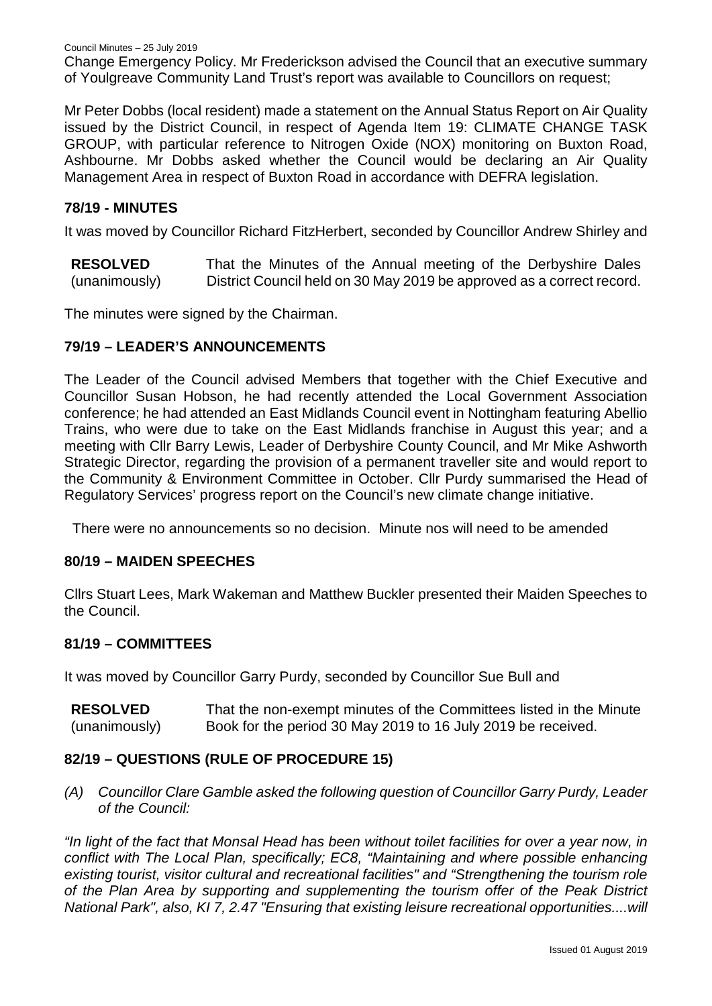Mr Peter Dobbs (local resident) made a statement on the Annual Status Report on Air Quality issued by the District Council, in respect of Agenda Item 19: CLIMATE CHANGE TASK GROUP, with particular reference to Nitrogen Oxide (NOX) monitoring on Buxton Road, Ashbourne. Mr Dobbs asked whether the Council would be declaring an Air Quality Management Area in respect of Buxton Road in accordance with DEFRA legislation.

## **78/19 - MINUTES**

It was moved by Councillor Richard FitzHerbert, seconded by Councillor Andrew Shirley and

**RESOLVED** (unanimously) That the Minutes of the Annual meeting of the Derbyshire Dales District Council held on 30 May 2019 be approved as a correct record.

The minutes were signed by the Chairman.

### **79/19 – LEADER'S ANNOUNCEMENTS**

The Leader of the Council advised Members that together with the Chief Executive and Councillor Susan Hobson, he had recently attended the Local Government Association conference; he had attended an East Midlands Council event in Nottingham featuring Abellio Trains, who were due to take on the East Midlands franchise in August this year; and a meeting with Cllr Barry Lewis, Leader of Derbyshire County Council, and Mr Mike Ashworth Strategic Director, regarding the provision of a permanent traveller site and would report to the Community & Environment Committee in October. Cllr Purdy summarised the Head of Regulatory Services' progress report on the Council's new climate change initiative.

There were no announcements so no decision. Minute nos will need to be amended

### **80/19 – MAIDEN SPEECHES**

Cllrs Stuart Lees, Mark Wakeman and Matthew Buckler presented their Maiden Speeches to the Council.

### **81/19 – COMMITTEES**

It was moved by Councillor Garry Purdy, seconded by Councillor Sue Bull and

**RESOLVED** (unanimously) That the non-exempt minutes of the Committees listed in the Minute Book for the period 30 May 2019 to 16 July 2019 be received.

### **82/19 – QUESTIONS (RULE OF PROCEDURE 15)**

*(A) Councillor Clare Gamble asked the following question of Councillor Garry Purdy, Leader of the Council:*

*"In light of the fact that Monsal Head has been without toilet facilities for over a year now, in conflict with The Local Plan, specifically; EC8, "Maintaining and where possible enhancing existing tourist, visitor cultural and recreational facilities" and "Strengthening the tourism role of the Plan Area by supporting and supplementing the tourism offer of the Peak District National Park", also, KI 7, 2.47 "Ensuring that existing leisure recreational opportunities....will*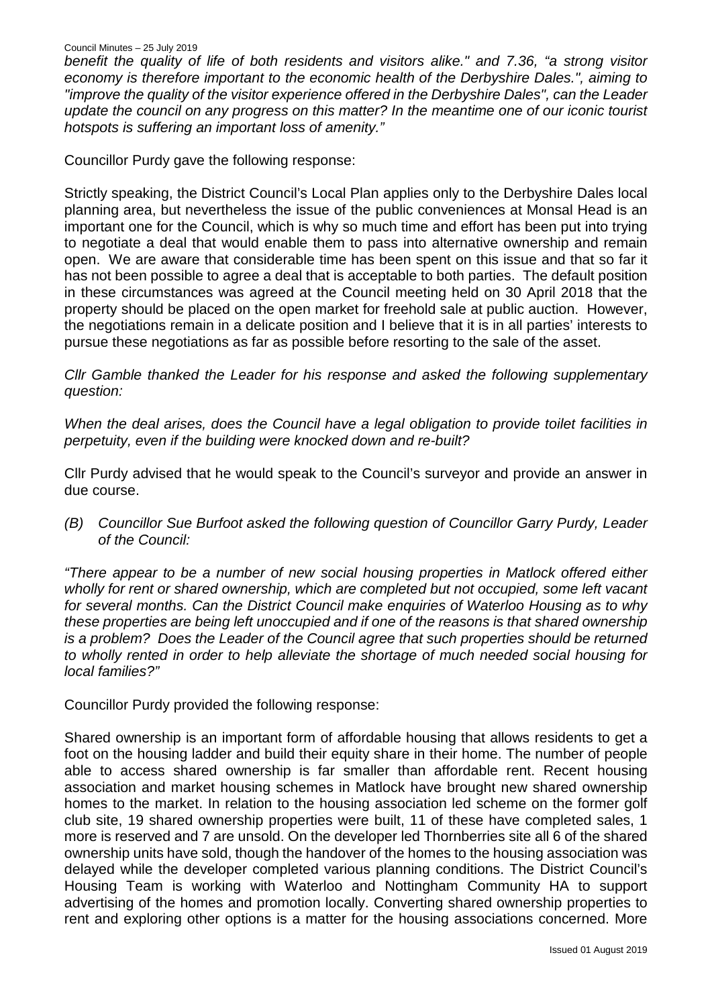*benefit the quality of life of both residents and visitors alike." and 7.36, "a strong visitor economy is therefore important to the economic health of the Derbyshire Dales.", aiming to "improve the quality of the visitor experience offered in the Derbyshire Dales", can the Leader update the council on any progress on this matter? In the meantime one of our iconic tourist hotspots is suffering an important loss of amenity."*

Councillor Purdy gave the following response:

Strictly speaking, the District Council's Local Plan applies only to the Derbyshire Dales local planning area, but nevertheless the issue of the public conveniences at Monsal Head is an important one for the Council, which is why so much time and effort has been put into trying to negotiate a deal that would enable them to pass into alternative ownership and remain open. We are aware that considerable time has been spent on this issue and that so far it has not been possible to agree a deal that is acceptable to both parties. The default position in these circumstances was agreed at the Council meeting held on 30 April 2018 that the property should be placed on the open market for freehold sale at public auction. However, the negotiations remain in a delicate position and I believe that it is in all parties' interests to pursue these negotiations as far as possible before resorting to the sale of the asset.

*Cllr Gamble thanked the Leader for his response and asked the following supplementary question:*

*When the deal arises, does the Council have a legal obligation to provide toilet facilities in perpetuity, even if the building were knocked down and re-built?*

Cllr Purdy advised that he would speak to the Council's surveyor and provide an answer in due course.

*(B) Councillor Sue Burfoot asked the following question of Councillor Garry Purdy, Leader of the Council:*

*"There appear to be a number of new social housing properties in Matlock offered either wholly for rent or shared ownership, which are completed but not occupied, some left vacant for several months. Can the District Council make enquiries of Waterloo Housing as to why these properties are being left unoccupied and if one of the reasons is that shared ownership is a problem? Does the Leader of the Council agree that such properties should be returned to wholly rented in order to help alleviate the shortage of much needed social housing for local families?"*

Councillor Purdy provided the following response:

Shared ownership is an important form of affordable housing that allows residents to get a foot on the housing ladder and build their equity share in their home. The number of people able to access shared ownership is far smaller than affordable rent. Recent housing association and market housing schemes in Matlock have brought new shared ownership homes to the market. In relation to the housing association led scheme on the former golf club site, 19 shared ownership properties were built, 11 of these have completed sales, 1 more is reserved and 7 are unsold. On the developer led Thornberries site all 6 of the shared ownership units have sold, though the handover of the homes to the housing association was delayed while the developer completed various planning conditions. The District Council's Housing Team is working with Waterloo and Nottingham Community HA to support advertising of the homes and promotion locally. Converting shared ownership properties to rent and exploring other options is a matter for the housing associations concerned. More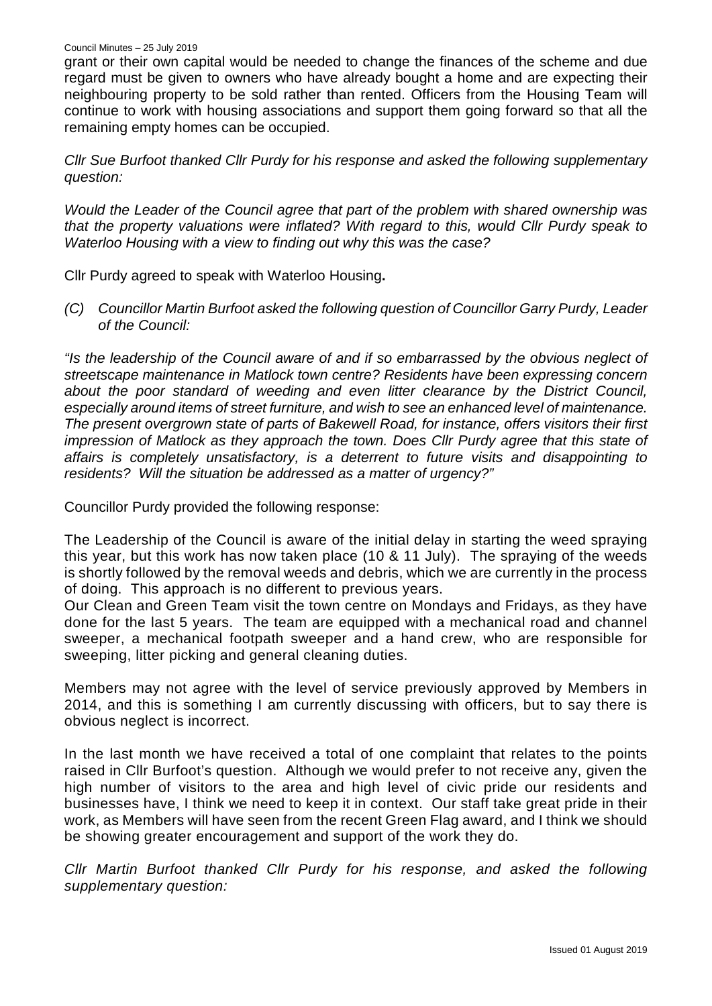grant or their own capital would be needed to change the finances of the scheme and due regard must be given to owners who have already bought a home and are expecting their neighbouring property to be sold rather than rented. Officers from the Housing Team will continue to work with housing associations and support them going forward so that all the remaining empty homes can be occupied.

*Cllr Sue Burfoot thanked Cllr Purdy for his response and asked the following supplementary question:*

*Would the Leader of the Council agree that part of the problem with shared ownership was that the property valuations were inflated? With regard to this, would Cllr Purdy speak to Waterloo Housing with a view to finding out why this was the case?*

Cllr Purdy agreed to speak with Waterloo Housing**.** 

*(C) Councillor Martin Burfoot asked the following question of Councillor Garry Purdy, Leader of the Council:*

*"Is the leadership of the Council aware of and if so embarrassed by the obvious neglect of streetscape maintenance in Matlock town centre? Residents have been expressing concern about the poor standard of weeding and even litter clearance by the District Council, especially around items of street furniture, and wish to see an enhanced level of maintenance. The present overgrown state of parts of Bakewell Road, for instance, offers visitors their first impression of Matlock as they approach the town. Does Cllr Purdy agree that this state of affairs is completely unsatisfactory, is a deterrent to future visits and disappointing to residents? Will the situation be addressed as a matter of urgency?"*

Councillor Purdy provided the following response:

The Leadership of the Council is aware of the initial delay in starting the weed spraying this year, but this work has now taken place (10 & 11 July). The spraying of the weeds is shortly followed by the removal weeds and debris, which we are currently in the process of doing. This approach is no different to previous years.

Our Clean and Green Team visit the town centre on Mondays and Fridays, as they have done for the last 5 years. The team are equipped with a mechanical road and channel sweeper, a mechanical footpath sweeper and a hand crew, who are responsible for sweeping, litter picking and general cleaning duties.

Members may not agree with the level of service previously approved by Members in 2014, and this is something I am currently discussing with officers, but to say there is obvious neglect is incorrect.

In the last month we have received a total of one complaint that relates to the points raised in Cllr Burfoot's question. Although we would prefer to not receive any, given the high number of visitors to the area and high level of civic pride our residents and businesses have, I think we need to keep it in context. Our staff take great pride in their work, as Members will have seen from the recent Green Flag award, and I think we should be showing greater encouragement and support of the work they do.

*Cllr Martin Burfoot thanked Cllr Purdy for his response, and asked the following supplementary question:*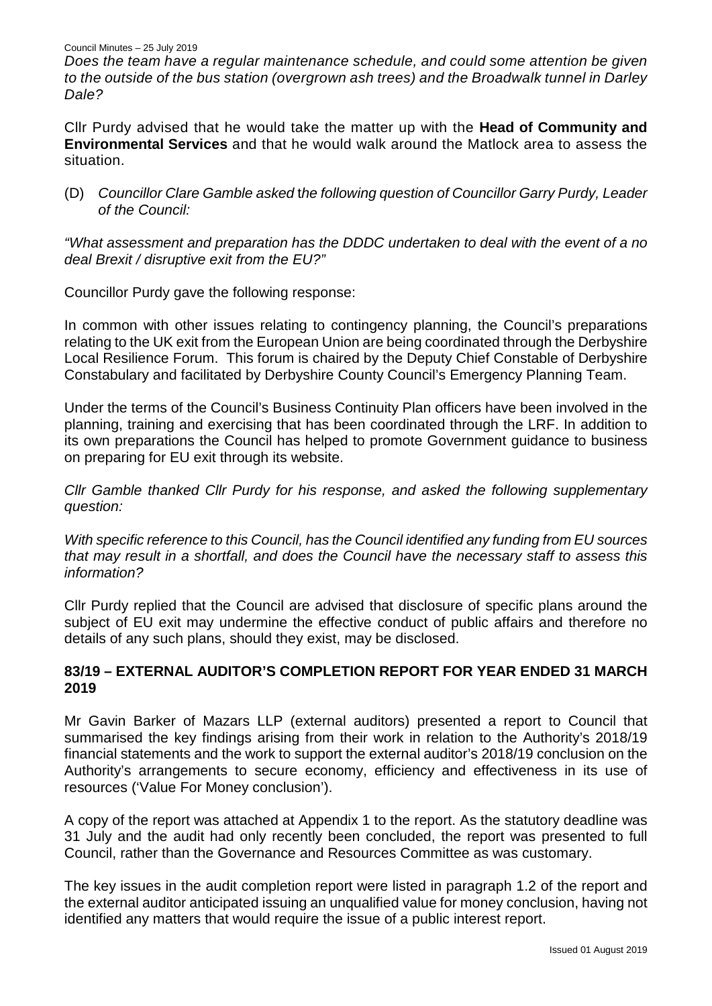*Does the team have a regular maintenance schedule, and could some attention be given to the outside of the bus station (overgrown ash trees) and the Broadwalk tunnel in Darley Dale?*

Cllr Purdy advised that he would take the matter up with the **Head of Community and Environmental Services** and that he would walk around the Matlock area to assess the situation.

(D) *Councillor Clare Gamble asked* t*he following question of Councillor Garry Purdy, Leader of the Council:*

*"What assessment and preparation has the DDDC undertaken to deal with the event of a no deal Brexit / disruptive exit from the EU?"*

Councillor Purdy gave the following response:

In common with other issues relating to contingency planning, the Council's preparations relating to the UK exit from the European Union are being coordinated through the Derbyshire Local Resilience Forum. This forum is chaired by the Deputy Chief Constable of Derbyshire Constabulary and facilitated by Derbyshire County Council's Emergency Planning Team.

Under the terms of the Council's Business Continuity Plan officers have been involved in the planning, training and exercising that has been coordinated through the LRF. In addition to its own preparations the Council has helped to promote Government guidance to business on preparing for EU exit through its website.

*Cllr Gamble thanked Cllr Purdy for his response, and asked the following supplementary question:*

*With specific reference to this Council, has the Council identified any funding from EU sources that may result in a shortfall, and does the Council have the necessary staff to assess this information?*

Cllr Purdy replied that the Council are advised that disclosure of specific plans around the subject of EU exit may undermine the effective conduct of public affairs and therefore no details of any such plans, should they exist, may be disclosed.

## **83/19 – EXTERNAL AUDITOR'S COMPLETION REPORT FOR YEAR ENDED 31 MARCH 2019**

Mr Gavin Barker of Mazars LLP (external auditors) presented a report to Council that summarised the key findings arising from their work in relation to the Authority's 2018/19 financial statements and the work to support the external auditor's 2018/19 conclusion on the Authority's arrangements to secure economy, efficiency and effectiveness in its use of resources ('Value For Money conclusion').

A copy of the report was attached at Appendix 1 to the report. As the statutory deadline was 31 July and the audit had only recently been concluded, the report was presented to full Council, rather than the Governance and Resources Committee as was customary.

The key issues in the audit completion report were listed in paragraph 1.2 of the report and the external auditor anticipated issuing an unqualified value for money conclusion, having not identified any matters that would require the issue of a public interest report.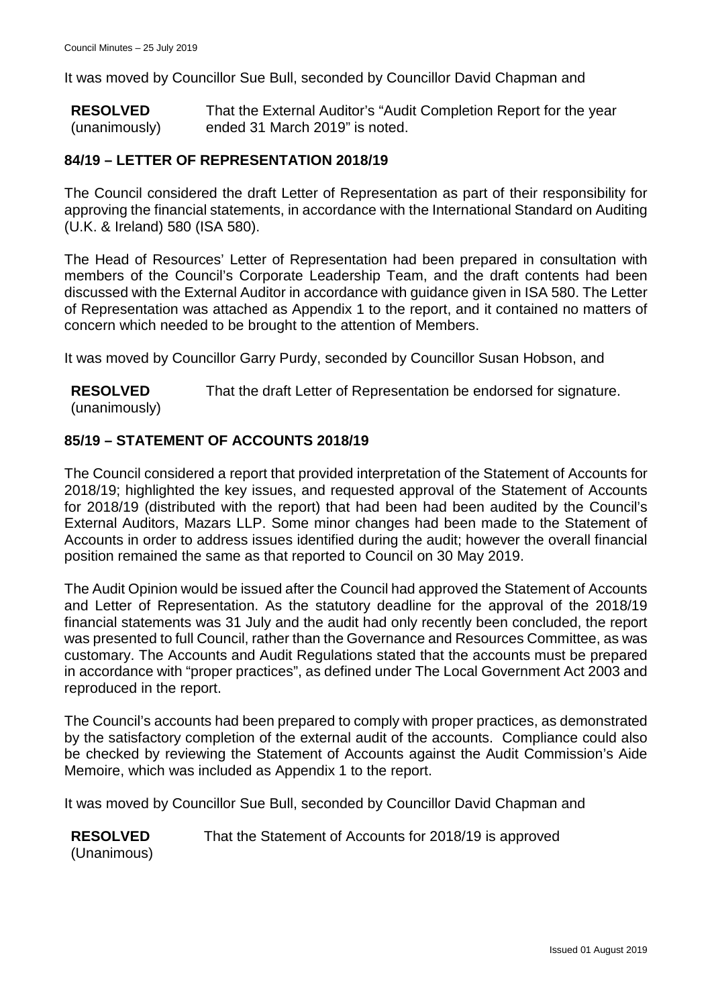It was moved by Councillor Sue Bull, seconded by Councillor David Chapman and

**RESOLVED** (unanimously) That the External Auditor's "Audit Completion Report for the year ended 31 March 2019" is noted.

# **84/19 – LETTER OF REPRESENTATION 2018/19**

The Council considered the draft Letter of Representation as part of their responsibility for approving the financial statements, in accordance with the International Standard on Auditing (U.K. & Ireland) 580 (ISA 580).

The Head of Resources' Letter of Representation had been prepared in consultation with members of the Council's Corporate Leadership Team, and the draft contents had been discussed with the External Auditor in accordance with guidance given in ISA 580. The Letter of Representation was attached as Appendix 1 to the report, and it contained no matters of concern which needed to be brought to the attention of Members.

It was moved by Councillor Garry Purdy, seconded by Councillor Susan Hobson, and

**RESOLVED** (unanimously) That the draft Letter of Representation be endorsed for signature.

# **85/19 – STATEMENT OF ACCOUNTS 2018/19**

The Council considered a report that provided interpretation of the Statement of Accounts for 2018/19; highlighted the key issues, and requested approval of the Statement of Accounts for 2018/19 (distributed with the report) that had been had been audited by the Council's External Auditors, Mazars LLP. Some minor changes had been made to the Statement of Accounts in order to address issues identified during the audit; however the overall financial position remained the same as that reported to Council on 30 May 2019.

The Audit Opinion would be issued after the Council had approved the Statement of Accounts and Letter of Representation. As the statutory deadline for the approval of the 2018/19 financial statements was 31 July and the audit had only recently been concluded, the report was presented to full Council, rather than the Governance and Resources Committee, as was customary. The Accounts and Audit Regulations stated that the accounts must be prepared in accordance with "proper practices", as defined under The Local Government Act 2003 and reproduced in the report.

The Council's accounts had been prepared to comply with proper practices, as demonstrated by the satisfactory completion of the external audit of the accounts. Compliance could also be checked by reviewing the Statement of Accounts against the Audit Commission's Aide Memoire, which was included as Appendix 1 to the report.

It was moved by Councillor Sue Bull, seconded by Councillor David Chapman and

**RESOLVED** (Unanimous) That the Statement of Accounts for 2018/19 is approved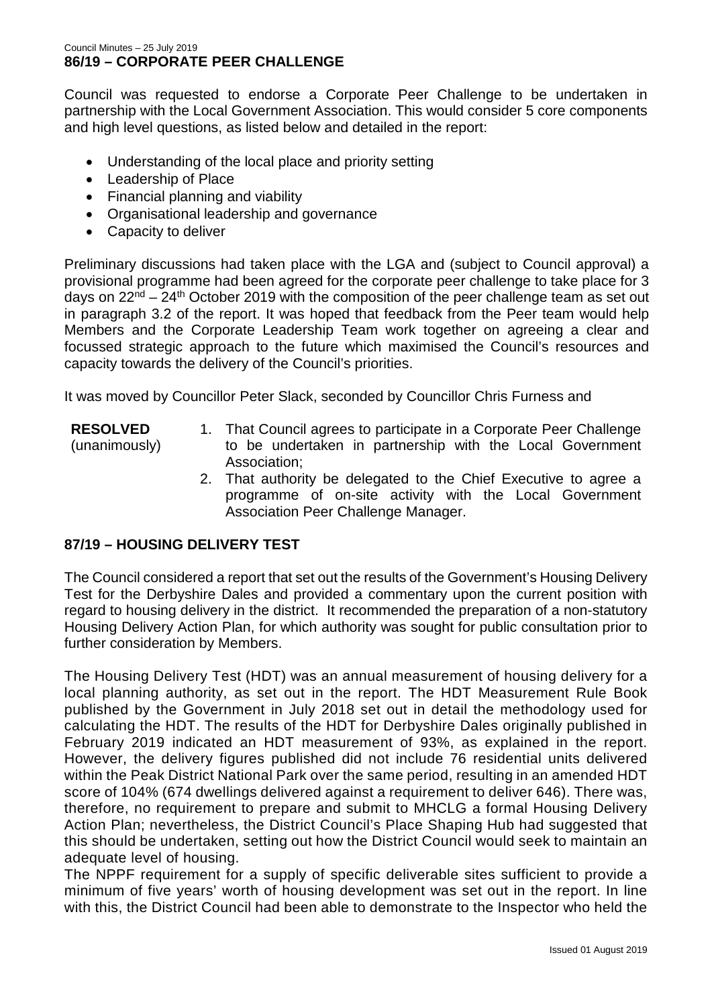Council was requested to endorse a Corporate Peer Challenge to be undertaken in partnership with the Local Government Association. This would consider 5 core components and high level questions, as listed below and detailed in the report:

- Understanding of the local place and priority setting
- Leadership of Place
- Financial planning and viability
- Organisational leadership and governance
- Capacity to deliver

Preliminary discussions had taken place with the LGA and (subject to Council approval) a provisional programme had been agreed for the corporate peer challenge to take place for 3 days on  $22^{nd} - 24^{th}$  October 2019 with the composition of the peer challenge team as set out in paragraph 3.2 of the report. It was hoped that feedback from the Peer team would help Members and the Corporate Leadership Team work together on agreeing a clear and focussed strategic approach to the future which maximised the Council's resources and capacity towards the delivery of the Council's priorities.

It was moved by Councillor Peter Slack, seconded by Councillor Chris Furness and

- **RESOLVED**
- (unanimously)
- 1. That Council agrees to participate in a Corporate Peer Challenge to be undertaken in partnership with the Local Government Association;
	- 2. That authority be delegated to the Chief Executive to agree a programme of on-site activity with the Local Government Association Peer Challenge Manager.

# **87/19 – HOUSING DELIVERY TEST**

The Council considered a report that set out the results of the Government's Housing Delivery Test for the Derbyshire Dales and provided a commentary upon the current position with regard to housing delivery in the district. It recommended the preparation of a non-statutory Housing Delivery Action Plan, for which authority was sought for public consultation prior to further consideration by Members.

The Housing Delivery Test (HDT) was an annual measurement of housing delivery for a local planning authority, as set out in the report. The HDT Measurement Rule Book published by the Government in July 2018 set out in detail the methodology used for calculating the HDT. The results of the HDT for Derbyshire Dales originally published in February 2019 indicated an HDT measurement of 93%, as explained in the report. However, the delivery figures published did not include 76 residential units delivered within the Peak District National Park over the same period, resulting in an amended HDT score of 104% (674 dwellings delivered against a requirement to deliver 646). There was, therefore, no requirement to prepare and submit to MHCLG a formal Housing Delivery Action Plan; nevertheless, the District Council's Place Shaping Hub had suggested that this should be undertaken, setting out how the District Council would seek to maintain an adequate level of housing.

The NPPF requirement for a supply of specific deliverable sites sufficient to provide a minimum of five years' worth of housing development was set out in the report. In line with this, the District Council had been able to demonstrate to the Inspector who held the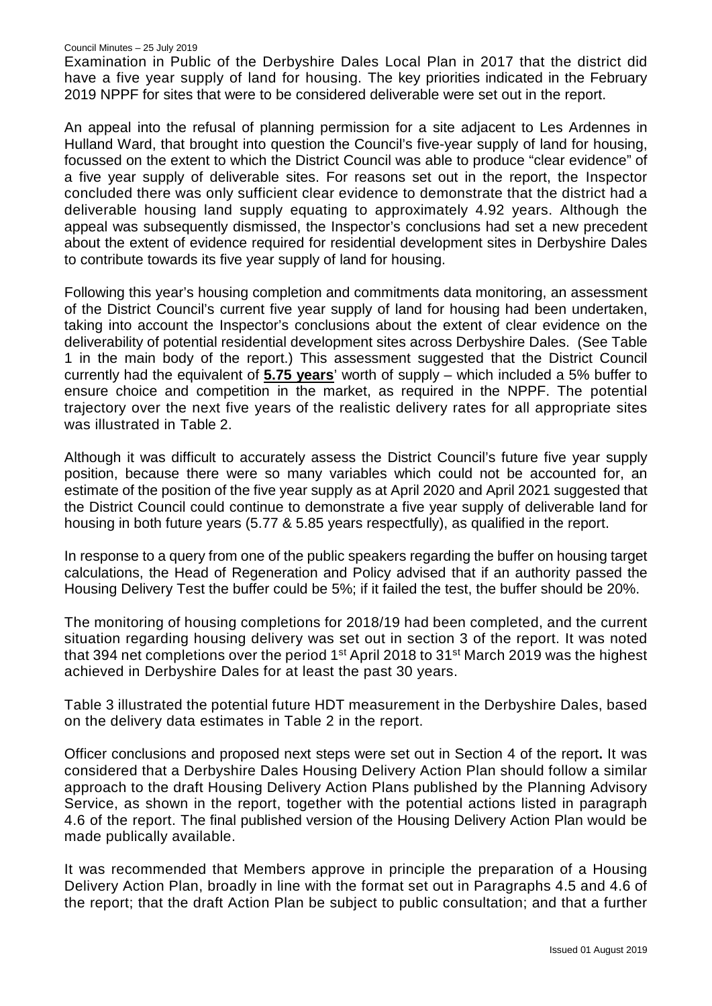Examination in Public of the Derbyshire Dales Local Plan in 2017 that the district did have a five year supply of land for housing. The key priorities indicated in the February 2019 NPPF for sites that were to be considered deliverable were set out in the report.

An appeal into the refusal of planning permission for a site adjacent to Les Ardennes in Hulland Ward, that brought into question the Council's five-year supply of land for housing, focussed on the extent to which the District Council was able to produce "clear evidence" of a five year supply of deliverable sites. For reasons set out in the report, the Inspector concluded there was only sufficient clear evidence to demonstrate that the district had a deliverable housing land supply equating to approximately 4.92 years. Although the appeal was subsequently dismissed, the Inspector's conclusions had set a new precedent about the extent of evidence required for residential development sites in Derbyshire Dales to contribute towards its five year supply of land for housing.

Following this year's housing completion and commitments data monitoring, an assessment of the District Council's current five year supply of land for housing had been undertaken, taking into account the Inspector's conclusions about the extent of clear evidence on the deliverability of potential residential development sites across Derbyshire Dales. (See Table 1 in the main body of the report.) This assessment suggested that the District Council currently had the equivalent of **5.75 years**' worth of supply – which included a 5% buffer to ensure choice and competition in the market, as required in the NPPF. The potential trajectory over the next five years of the realistic delivery rates for all appropriate sites was illustrated in Table 2.

Although it was difficult to accurately assess the District Council's future five year supply position, because there were so many variables which could not be accounted for, an estimate of the position of the five year supply as at April 2020 and April 2021 suggested that the District Council could continue to demonstrate a five year supply of deliverable land for housing in both future years (5.77 & 5.85 years respectfully), as qualified in the report.

In response to a query from one of the public speakers regarding the buffer on housing target calculations, the Head of Regeneration and Policy advised that if an authority passed the Housing Delivery Test the buffer could be 5%; if it failed the test, the buffer should be 20%.

The monitoring of housing completions for 2018/19 had been completed, and the current situation regarding housing delivery was set out in section 3 of the report. It was noted that 394 net completions over the period 1<sup>st</sup> April 2018 to 31<sup>st</sup> March 2019 was the highest achieved in Derbyshire Dales for at least the past 30 years.

Table 3 illustrated the potential future HDT measurement in the Derbyshire Dales, based on the delivery data estimates in Table 2 in the report.

Officer conclusions and proposed next steps were set out in Section 4 of the report**.** It was considered that a Derbyshire Dales Housing Delivery Action Plan should follow a similar approach to the draft Housing Delivery Action Plans published by the Planning Advisory Service, as shown in the report, together with the potential actions listed in paragraph 4.6 of the report. The final published version of the Housing Delivery Action Plan would be made publically available.

It was recommended that Members approve in principle the preparation of a Housing Delivery Action Plan, broadly in line with the format set out in Paragraphs 4.5 and 4.6 of the report; that the draft Action Plan be subject to public consultation; and that a further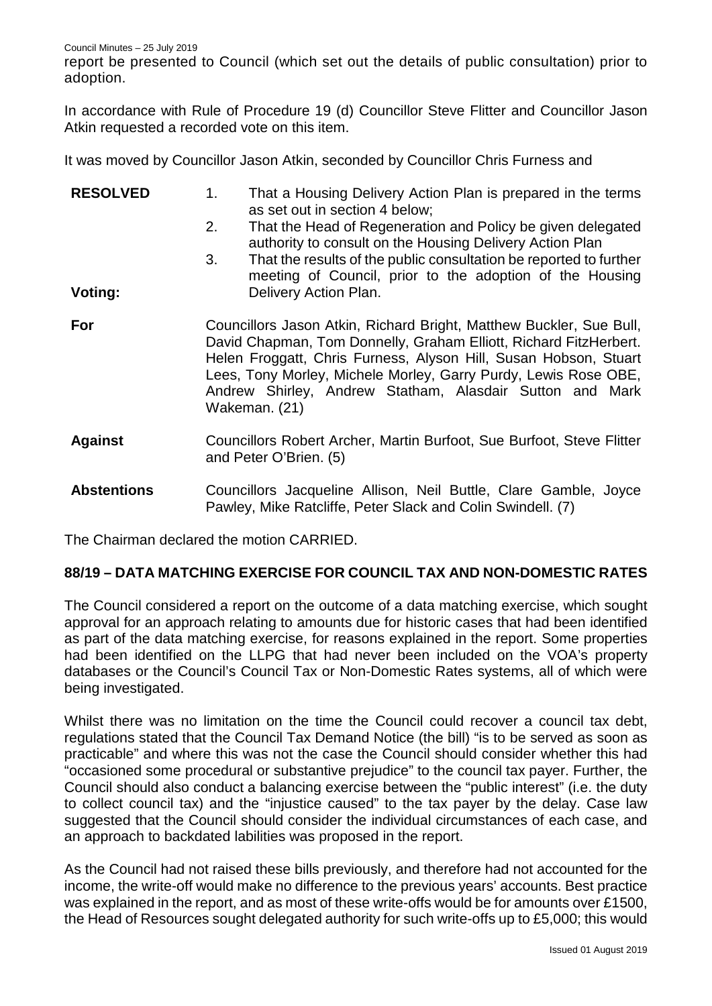report be presented to Council (which set out the details of public consultation) prior to adoption.

In accordance with Rule of Procedure 19 (d) Councillor Steve Flitter and Councillor Jason Atkin requested a recorded vote on this item.

It was moved by Councillor Jason Atkin, seconded by Councillor Chris Furness and

| <b>RESOLVED</b>    | 1.                                                                                                                                                                                                                                                                                                                                                           | That a Housing Delivery Action Plan is prepared in the terms<br>as set out in section 4 below;                                  |  |  |  |
|--------------------|--------------------------------------------------------------------------------------------------------------------------------------------------------------------------------------------------------------------------------------------------------------------------------------------------------------------------------------------------------------|---------------------------------------------------------------------------------------------------------------------------------|--|--|--|
|                    | 2.                                                                                                                                                                                                                                                                                                                                                           | That the Head of Regeneration and Policy be given delegated<br>authority to consult on the Housing Delivery Action Plan         |  |  |  |
|                    | 3.                                                                                                                                                                                                                                                                                                                                                           | That the results of the public consultation be reported to further<br>meeting of Council, prior to the adoption of the Housing  |  |  |  |
| Voting:            |                                                                                                                                                                                                                                                                                                                                                              | Delivery Action Plan.                                                                                                           |  |  |  |
| For                | Councillors Jason Atkin, Richard Bright, Matthew Buckler, Sue Bull,<br>David Chapman, Tom Donnelly, Graham Elliott, Richard FitzHerbert.<br>Helen Froggatt, Chris Furness, Alyson Hill, Susan Hobson, Stuart<br>Lees, Tony Morley, Michele Morley, Garry Purdy, Lewis Rose OBE,<br>Andrew Shirley, Andrew Statham, Alasdair Sutton and Mark<br>Wakeman. (21) |                                                                                                                                 |  |  |  |
| <b>Against</b>     |                                                                                                                                                                                                                                                                                                                                                              | Councillors Robert Archer, Martin Burfoot, Sue Burfoot, Steve Flitter<br>and Peter O'Brien. (5)                                 |  |  |  |
| <b>Abstentions</b> |                                                                                                                                                                                                                                                                                                                                                              | Councillors Jacqueline Allison, Neil Buttle, Clare Gamble, Joyce<br>Pawley, Mike Ratcliffe, Peter Slack and Colin Swindell. (7) |  |  |  |

The Chairman declared the motion CARRIED.

### **88/19 – DATA MATCHING EXERCISE FOR COUNCIL TAX AND NON-DOMESTIC RATES**

The Council considered a report on the outcome of a data matching exercise, which sought approval for an approach relating to amounts due for historic cases that had been identified as part of the data matching exercise, for reasons explained in the report. Some properties had been identified on the LLPG that had never been included on the VOA's property databases or the Council's Council Tax or Non-Domestic Rates systems, all of which were being investigated.

Whilst there was no limitation on the time the Council could recover a council tax debt, regulations stated that the Council Tax Demand Notice (the bill) "is to be served as soon as practicable" and where this was not the case the Council should consider whether this had "occasioned some procedural or substantive prejudice" to the council tax payer. Further, the Council should also conduct a balancing exercise between the "public interest" (i.e. the duty to collect council tax) and the "injustice caused" to the tax payer by the delay. Case law suggested that the Council should consider the individual circumstances of each case, and an approach to backdated labilities was proposed in the report.

As the Council had not raised these bills previously, and therefore had not accounted for the income, the write-off would make no difference to the previous years' accounts. Best practice was explained in the report, and as most of these write-offs would be for amounts over £1500, the Head of Resources sought delegated authority for such write-offs up to £5,000; this would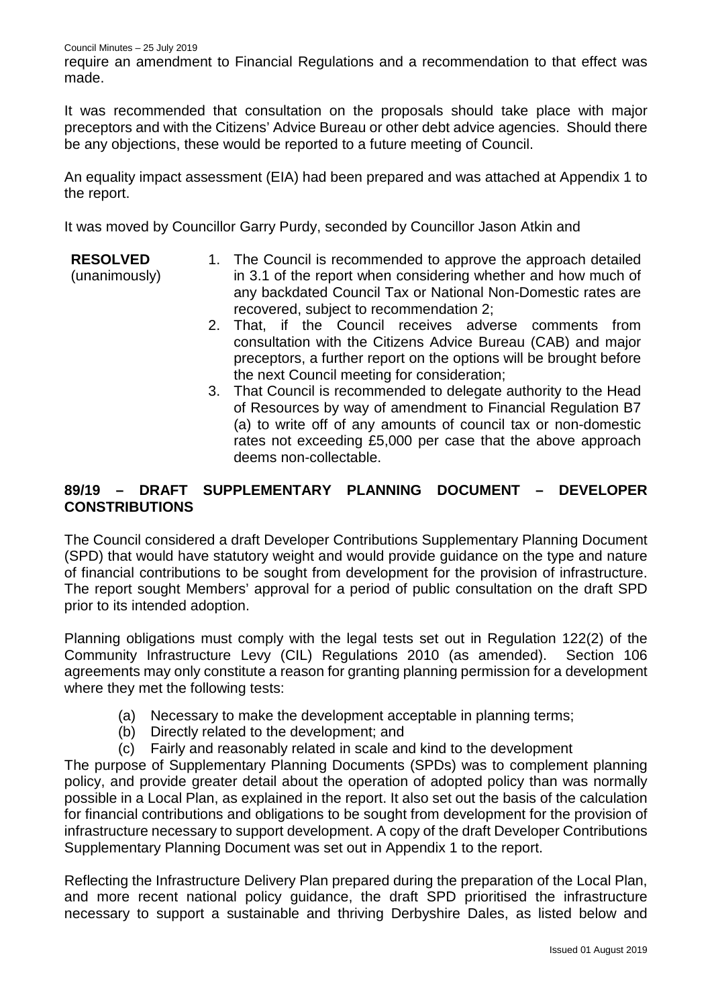require an amendment to Financial Regulations and a recommendation to that effect was made.

It was recommended that consultation on the proposals should take place with major preceptors and with the Citizens' Advice Bureau or other debt advice agencies. Should there be any objections, these would be reported to a future meeting of Council.

An equality impact assessment (EIA) had been prepared and was attached at Appendix 1 to the report.

It was moved by Councillor Garry Purdy, seconded by Councillor Jason Atkin and

#### **RESOLVED** 1. The Council is recommended to approve the approach detailed

(unanimously)

- in 3.1 of the report when considering whether and how much of any backdated Council Tax or National Non-Domestic rates are recovered, subject to recommendation 2;
- 2. That, if the Council receives adverse comments from consultation with the Citizens Advice Bureau (CAB) and major preceptors, a further report on the options will be brought before the next Council meeting for consideration;
- 3. That Council is recommended to delegate authority to the Head of Resources by way of amendment to Financial Regulation B7 (a) to write off of any amounts of council tax or non-domestic rates not exceeding £5,000 per case that the above approach deems non-collectable.

# **89/19 – DRAFT SUPPLEMENTARY PLANNING DOCUMENT – DEVELOPER CONSTRIBUTIONS**

The Council considered a draft Developer Contributions Supplementary Planning Document (SPD) that would have statutory weight and would provide guidance on the type and nature of financial contributions to be sought from development for the provision of infrastructure. The report sought Members' approval for a period of public consultation on the draft SPD prior to its intended adoption.

Planning obligations must comply with the legal tests set out in Regulation 122(2) of the Community Infrastructure Levy (CIL) Regulations 2010 (as amended). Section 106 agreements may only constitute a reason for granting planning permission for a development where they met the following tests:

- (a) Necessary to make the development acceptable in planning terms;
- (b) Directly related to the development; and
- (c) Fairly and reasonably related in scale and kind to the development

The purpose of Supplementary Planning Documents (SPDs) was to complement planning policy, and provide greater detail about the operation of adopted policy than was normally possible in a Local Plan, as explained in the report. It also set out the basis of the calculation for financial contributions and obligations to be sought from development for the provision of infrastructure necessary to support development. A copy of the draft Developer Contributions Supplementary Planning Document was set out in Appendix 1 to the report.

Reflecting the Infrastructure Delivery Plan prepared during the preparation of the Local Plan, and more recent national policy guidance, the draft SPD prioritised the infrastructure necessary to support a sustainable and thriving Derbyshire Dales, as listed below and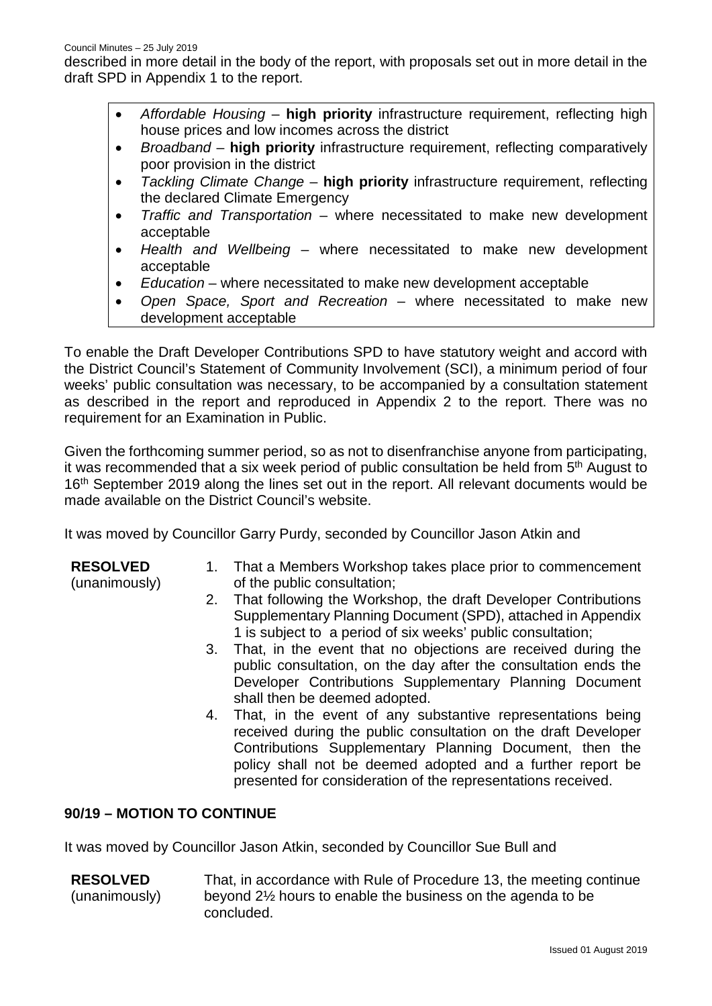described in more detail in the body of the report, with proposals set out in more detail in the draft SPD in Appendix 1 to the report.

- *Affordable Housing* **high priority** infrastructure requirement, reflecting high house prices and low incomes across the district
- *Broadband* **high priority** infrastructure requirement, reflecting comparatively poor provision in the district
- *Tackling Climate Change* **high priority** infrastructure requirement, reflecting the declared Climate Emergency
- *Traffic and Transportation* where necessitated to make new development acceptable
- *Health and Wellbeing* where necessitated to make new development acceptable
- *Education* where necessitated to make new development acceptable
- *Open Space, Sport and Recreation* where necessitated to make new development acceptable

To enable the Draft Developer Contributions SPD to have statutory weight and accord with the District Council's Statement of Community Involvement (SCI), a minimum period of four weeks' public consultation was necessary, to be accompanied by a consultation statement as described in the report and reproduced in Appendix 2 to the report. There was no requirement for an Examination in Public.

Given the forthcoming summer period, so as not to disenfranchise anyone from participating, it was recommended that a six week period of public consultation be held from 5<sup>th</sup> August to 16<sup>th</sup> September 2019 along the lines set out in the report. All relevant documents would be made available on the District Council's website.

It was moved by Councillor Garry Purdy, seconded by Councillor Jason Atkin and

**RESOLVED** (unanimously)

- 1. That a Members Workshop takes place prior to commencement of the public consultation;
- 2. That following the Workshop, the draft Developer Contributions Supplementary Planning Document (SPD), attached in Appendix 1 is subject to a period of six weeks' public consultation;
- 3. That, in the event that no objections are received during the public consultation, on the day after the consultation ends the Developer Contributions Supplementary Planning Document shall then be deemed adopted.
- 4. That, in the event of any substantive representations being received during the public consultation on the draft Developer Contributions Supplementary Planning Document, then the policy shall not be deemed adopted and a further report be presented for consideration of the representations received.

# **90/19 – MOTION TO CONTINUE**

It was moved by Councillor Jason Atkin, seconded by Councillor Sue Bull and

**RESOLVED** (unanimously) That, in accordance with Rule of Procedure 13, the meeting continue beyond 2½ hours to enable the business on the agenda to be concluded.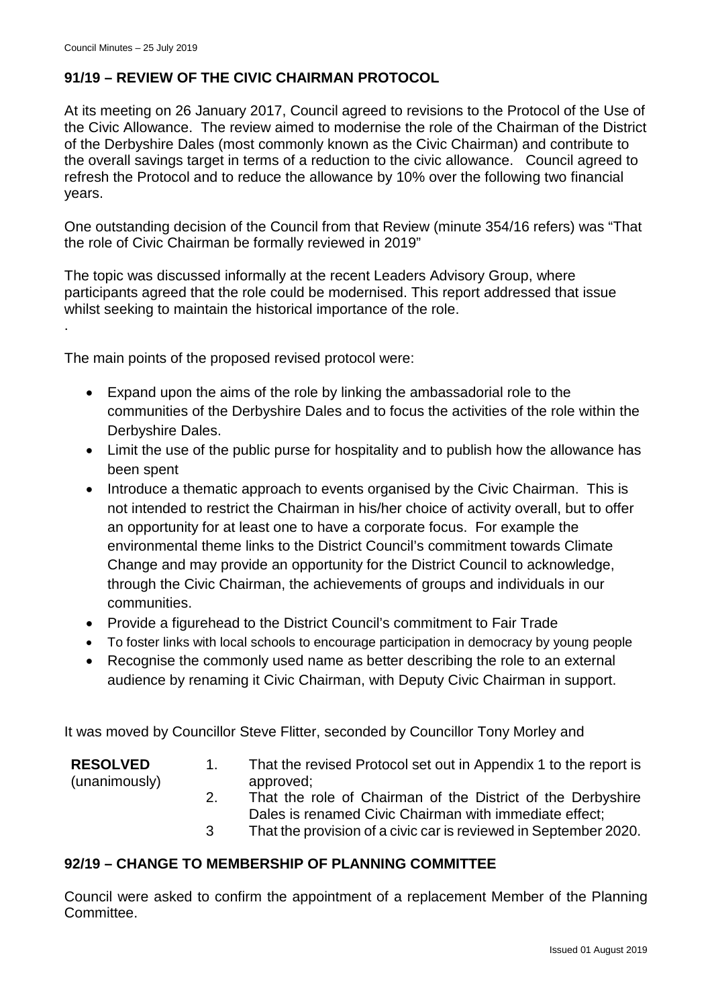.

# **91/19 – REVIEW OF THE CIVIC CHAIRMAN PROTOCOL**

At its meeting on 26 January 2017, Council agreed to revisions to the Protocol of the Use of the Civic Allowance. The review aimed to modernise the role of the Chairman of the District of the Derbyshire Dales (most commonly known as the Civic Chairman) and contribute to the overall savings target in terms of a reduction to the civic allowance. Council agreed to refresh the Protocol and to reduce the allowance by 10% over the following two financial years.

One outstanding decision of the Council from that Review (minute 354/16 refers) was "That the role of Civic Chairman be formally reviewed in 2019"

The topic was discussed informally at the recent Leaders Advisory Group, where participants agreed that the role could be modernised. This report addressed that issue whilst seeking to maintain the historical importance of the role.

The main points of the proposed revised protocol were:

- Expand upon the aims of the role by linking the ambassadorial role to the communities of the Derbyshire Dales and to focus the activities of the role within the Derbyshire Dales.
- Limit the use of the public purse for hospitality and to publish how the allowance has been spent
- Introduce a thematic approach to events organised by the Civic Chairman. This is not intended to restrict the Chairman in his/her choice of activity overall, but to offer an opportunity for at least one to have a corporate focus. For example the environmental theme links to the District Council's commitment towards Climate Change and may provide an opportunity for the District Council to acknowledge, through the Civic Chairman, the achievements of groups and individuals in our communities.
- Provide a figurehead to the District Council's commitment to Fair Trade
- To foster links with local schools to encourage participation in democracy by young people
- Recognise the commonly used name as better describing the role to an external audience by renaming it Civic Chairman, with Deputy Civic Chairman in support.

It was moved by Councillor Steve Flitter, seconded by Councillor Tony Morley and

| <b>RESOLVED</b> | That the revised Protocol set out in Appendix 1 to the report is |  |  |
|-----------------|------------------------------------------------------------------|--|--|
| (unanimously)   | approved:                                                        |  |  |
|                 | That the role of Chairman of the District of the Derbyshire      |  |  |

- Dales is renamed Civic Chairman with immediate effect;
- 3 That the provision of a civic car is reviewed in September 2020.

## **92/19 – CHANGE TO MEMBERSHIP OF PLANNING COMMITTEE**

Council were asked to confirm the appointment of a replacement Member of the Planning Committee.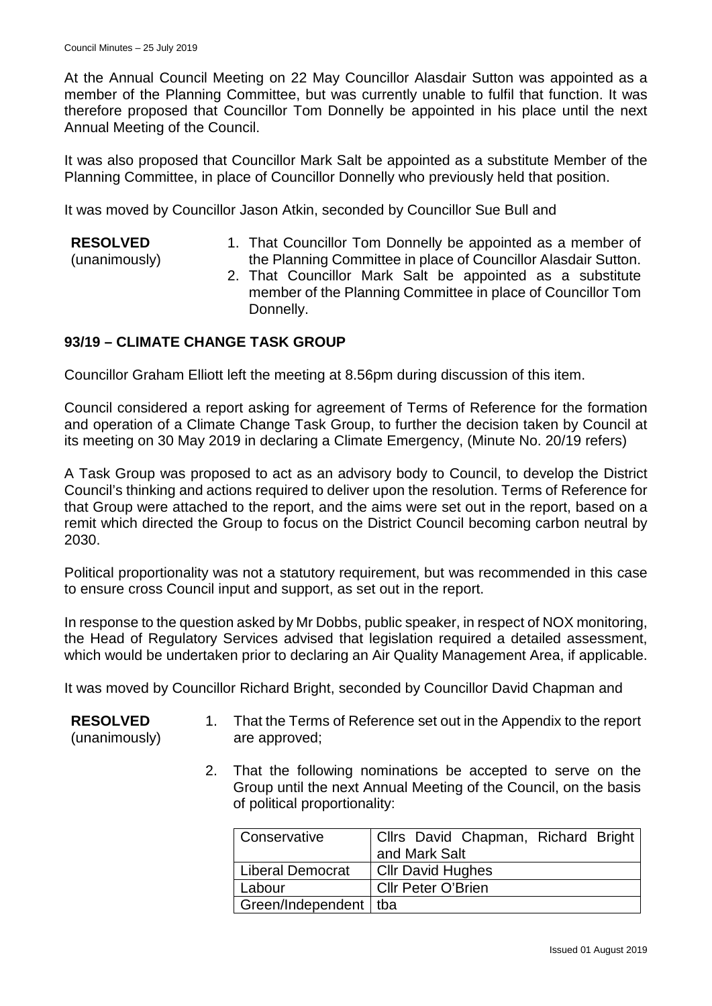At the Annual Council Meeting on 22 May Councillor Alasdair Sutton was appointed as a member of the Planning Committee, but was currently unable to fulfil that function. It was therefore proposed that Councillor Tom Donnelly be appointed in his place until the next Annual Meeting of the Council.

It was also proposed that Councillor Mark Salt be appointed as a substitute Member of the Planning Committee, in place of Councillor Donnelly who previously held that position.

It was moved by Councillor Jason Atkin, seconded by Councillor Sue Bull and

### **RESOLVED**

(unanimously)

- 1. That Councillor Tom Donnelly be appointed as a member of the Planning Committee in place of Councillor Alasdair Sutton.
- 2. That Councillor Mark Salt be appointed as a substitute member of the Planning Committee in place of Councillor Tom Donnelly.

### **93/19 – CLIMATE CHANGE TASK GROUP**

Councillor Graham Elliott left the meeting at 8.56pm during discussion of this item.

Council considered a report asking for agreement of Terms of Reference for the formation and operation of a Climate Change Task Group, to further the decision taken by Council at its meeting on 30 May 2019 in declaring a Climate Emergency, (Minute No. 20/19 refers)

A Task Group was proposed to act as an advisory body to Council, to develop the District Council's thinking and actions required to deliver upon the resolution. Terms of Reference for that Group were attached to the report, and the aims were set out in the report, based on a remit which directed the Group to focus on the District Council becoming carbon neutral by 2030.

Political proportionality was not a statutory requirement, but was recommended in this case to ensure cross Council input and support, as set out in the report.

In response to the question asked by Mr Dobbs, public speaker, in respect of NOX monitoring, the Head of Regulatory Services advised that legislation required a detailed assessment, which would be undertaken prior to declaring an Air Quality Management Area, if applicable.

It was moved by Councillor Richard Bright, seconded by Councillor David Chapman and

- **RESOLVED** (unanimously) 1. That the Terms of Reference set out in the Appendix to the report are approved;
	- 2. That the following nominations be accepted to serve on the Group until the next Annual Meeting of the Council, on the basis of political proportionality:

| l Conservative          | Cllrs David Chapman, Richard Bright |  |  |
|-------------------------|-------------------------------------|--|--|
|                         | and Mark Salt                       |  |  |
| Liberal Democrat        | <b>CIIr David Hughes</b>            |  |  |
| Labour                  | <b>Cllr Peter O'Brien</b>           |  |  |
| Green/Independent   tba |                                     |  |  |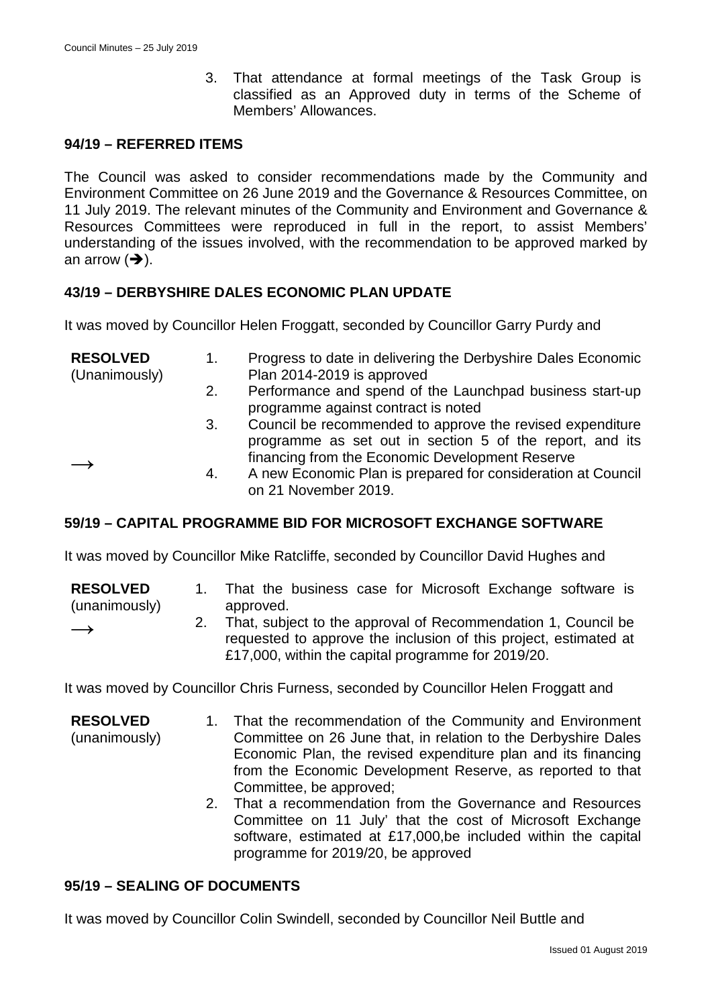3. That attendance at formal meetings of the Task Group is classified as an Approved duty in terms of the Scheme of Members' Allowances.

### **94/19 – REFERRED ITEMS**

The Council was asked to consider recommendations made by the Community and Environment Committee on 26 June 2019 and the Governance & Resources Committee, on 11 July 2019. The relevant minutes of the Community and Environment and Governance & Resources Committees were reproduced in full in the report, to assist Members' understanding of the issues involved, with the recommendation to be approved marked by an arrow  $(\rightarrow)$ .

### **43/19 – DERBYSHIRE DALES ECONOMIC PLAN UPDATE**

It was moved by Councillor Helen Froggatt, seconded by Councillor Garry Purdy and

| <b>RESOLVED</b><br>(Unanimously) | 1. | Progress to date in delivering the Derbyshire Dales Economic<br>Plan 2014-2019 is approved |  |  |
|----------------------------------|----|--------------------------------------------------------------------------------------------|--|--|
|                                  | 2. | Performance and spend of the Launchpad business start-up                                   |  |  |
|                                  |    | programme against contract is noted                                                        |  |  |
|                                  | 3. | Council be recommended to approve the revised expenditure                                  |  |  |
|                                  |    | programme as set out in section 5 of the report, and its                                   |  |  |
|                                  |    | financing from the Economic Development Reserve                                            |  |  |
|                                  | 4. | A new Economic Plan is prepared for consideration at Council<br>on 21 November 2019.       |  |  |

## **59/19 – CAPITAL PROGRAMME BID FOR MICROSOFT EXCHANGE SOFTWARE**

It was moved by Councillor Mike Ratcliffe, seconded by Councillor David Hughes and

| <b>RESOLVED</b> |           | That the business case for Microsoft Exchange software is      |
|-----------------|-----------|----------------------------------------------------------------|
| (unanimously)   | approved. |                                                                |
|                 |           | That subject to the conveyed of December andetics 1 Council he |

2. That, subject to the approval of Recommendation 1, Council be requested to approve the inclusion of this project, estimated at £17,000, within the capital programme for 2019/20.

It was moved by Councillor Chris Furness, seconded by Councillor Helen Froggatt and

- **RESOLVED** (unanimously) 1. That the recommendation of the Community and Environment Committee on 26 June that, in relation to the Derbyshire Dales Economic Plan, the revised expenditure plan and its financing from the Economic Development Reserve, as reported to that Committee, be approved;
	- 2. That a recommendation from the Governance and Resources Committee on 11 July' that the cost of Microsoft Exchange software, estimated at £17,000,be included within the capital programme for 2019/20, be approved

# **95/19 – SEALING OF DOCUMENTS**

 $\rightarrow$ 

It was moved by Councillor Colin Swindell, seconded by Councillor Neil Buttle and